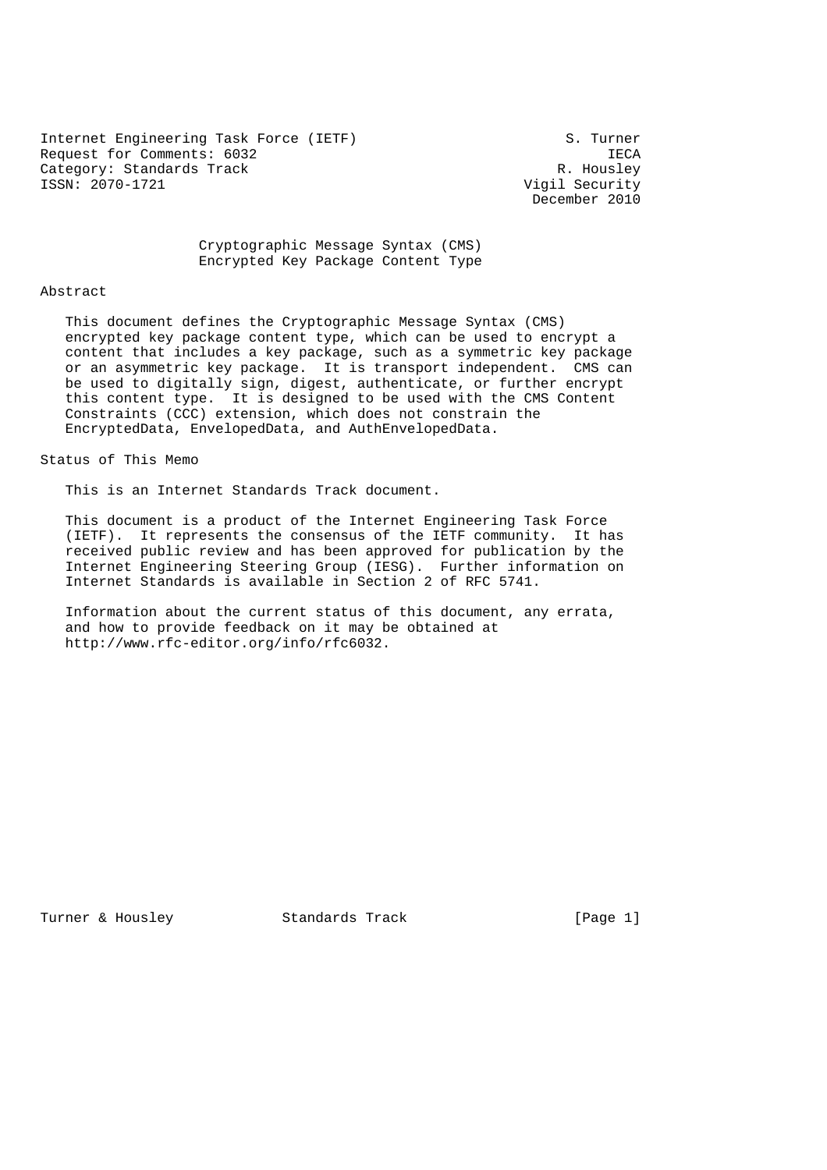Internet Engineering Task Force (IETF) S. Turner Request for Comments: 6032<br>Category: Standards Track Category: Standards Track Category: Standards Track<br>ISSN: 2070-1721

Vigil Security December 2010

# Cryptographic Message Syntax (CMS) Encrypted Key Package Content Type

#### Abstract

 This document defines the Cryptographic Message Syntax (CMS) encrypted key package content type, which can be used to encrypt a content that includes a key package, such as a symmetric key package or an asymmetric key package. It is transport independent. CMS can be used to digitally sign, digest, authenticate, or further encrypt this content type. It is designed to be used with the CMS Content Constraints (CCC) extension, which does not constrain the EncryptedData, EnvelopedData, and AuthEnvelopedData.

Status of This Memo

This is an Internet Standards Track document.

 This document is a product of the Internet Engineering Task Force (IETF). It represents the consensus of the IETF community. It has received public review and has been approved for publication by the Internet Engineering Steering Group (IESG). Further information on Internet Standards is available in Section 2 of RFC 5741.

 Information about the current status of this document, any errata, and how to provide feedback on it may be obtained at http://www.rfc-editor.org/info/rfc6032.

Turner & Housley Standards Track [Page 1]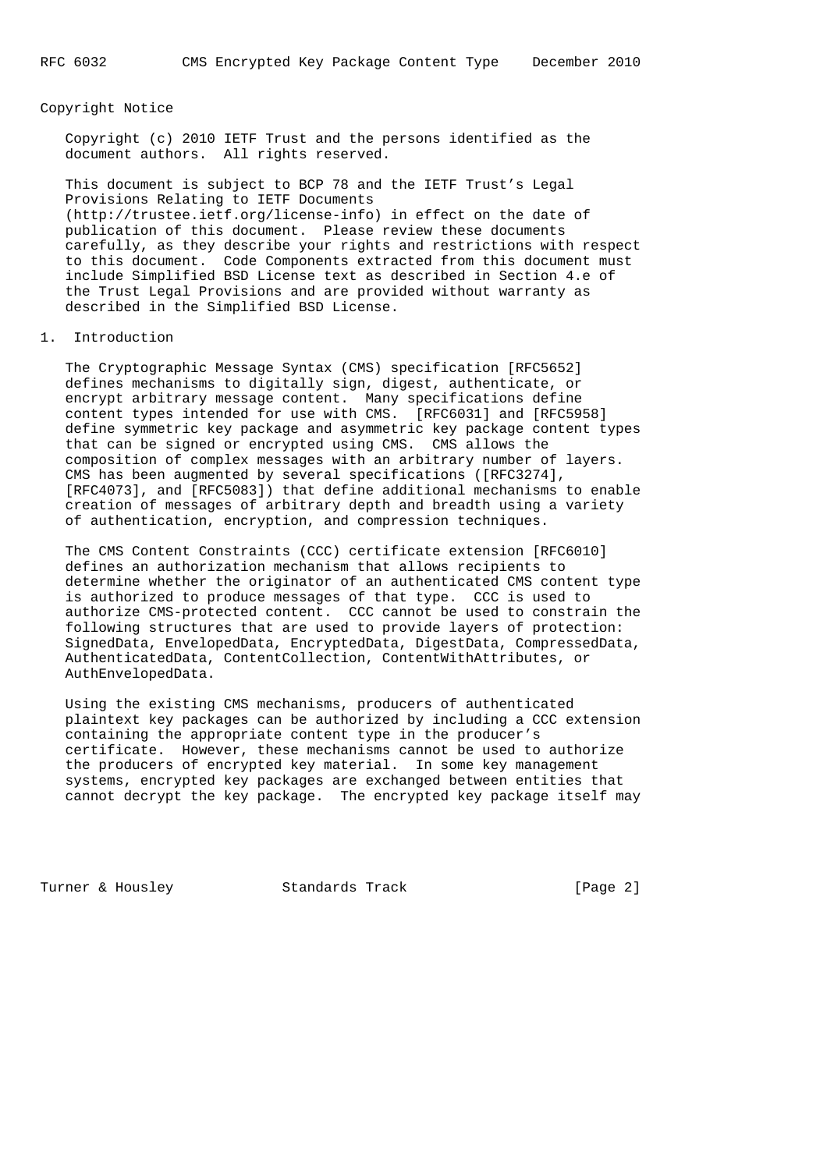### Copyright Notice

 Copyright (c) 2010 IETF Trust and the persons identified as the document authors. All rights reserved.

 This document is subject to BCP 78 and the IETF Trust's Legal Provisions Relating to IETF Documents (http://trustee.ietf.org/license-info) in effect on the date of publication of this document. Please review these documents carefully, as they describe your rights and restrictions with respect to this document. Code Components extracted from this document must include Simplified BSD License text as described in Section 4.e of the Trust Legal Provisions and are provided without warranty as described in the Simplified BSD License.

## 1. Introduction

 The Cryptographic Message Syntax (CMS) specification [RFC5652] defines mechanisms to digitally sign, digest, authenticate, or encrypt arbitrary message content. Many specifications define content types intended for use with CMS. [RFC6031] and [RFC5958] define symmetric key package and asymmetric key package content types that can be signed or encrypted using CMS. CMS allows the composition of complex messages with an arbitrary number of layers. CMS has been augmented by several specifications ([RFC3274], [RFC4073], and [RFC5083]) that define additional mechanisms to enable creation of messages of arbitrary depth and breadth using a variety of authentication, encryption, and compression techniques.

 The CMS Content Constraints (CCC) certificate extension [RFC6010] defines an authorization mechanism that allows recipients to determine whether the originator of an authenticated CMS content type is authorized to produce messages of that type. CCC is used to authorize CMS-protected content. CCC cannot be used to constrain the following structures that are used to provide layers of protection: SignedData, EnvelopedData, EncryptedData, DigestData, CompressedData, AuthenticatedData, ContentCollection, ContentWithAttributes, or AuthEnvelopedData.

 Using the existing CMS mechanisms, producers of authenticated plaintext key packages can be authorized by including a CCC extension containing the appropriate content type in the producer's certificate. However, these mechanisms cannot be used to authorize the producers of encrypted key material. In some key management systems, encrypted key packages are exchanged between entities that cannot decrypt the key package. The encrypted key package itself may

Turner & Housley **Standards Track** [Page 2]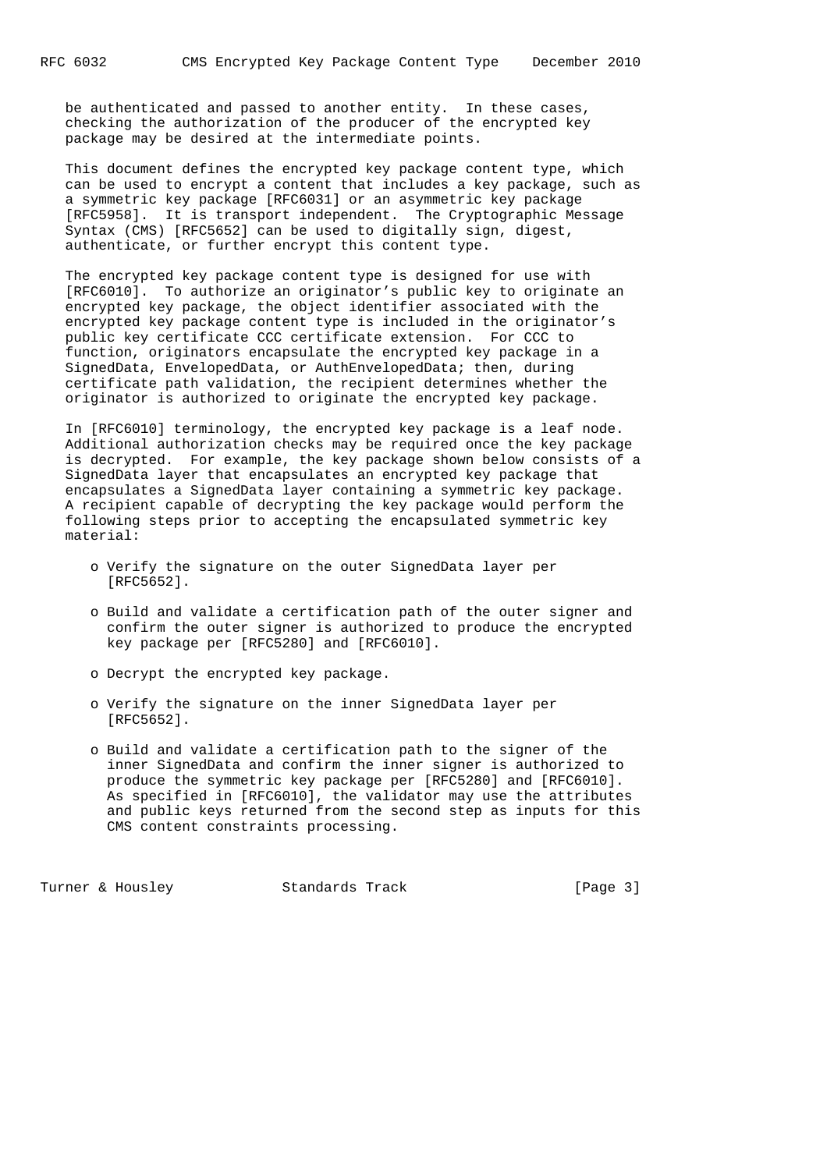be authenticated and passed to another entity. In these cases, checking the authorization of the producer of the encrypted key package may be desired at the intermediate points.

 This document defines the encrypted key package content type, which can be used to encrypt a content that includes a key package, such as a symmetric key package [RFC6031] or an asymmetric key package [RFC5958]. It is transport independent. The Cryptographic Message Syntax (CMS) [RFC5652] can be used to digitally sign, digest, authenticate, or further encrypt this content type.

 The encrypted key package content type is designed for use with [RFC6010]. To authorize an originator's public key to originate an encrypted key package, the object identifier associated with the encrypted key package content type is included in the originator's public key certificate CCC certificate extension. For CCC to function, originators encapsulate the encrypted key package in a SignedData, EnvelopedData, or AuthEnvelopedData; then, during certificate path validation, the recipient determines whether the originator is authorized to originate the encrypted key package.

 In [RFC6010] terminology, the encrypted key package is a leaf node. Additional authorization checks may be required once the key package is decrypted. For example, the key package shown below consists of a SignedData layer that encapsulates an encrypted key package that encapsulates a SignedData layer containing a symmetric key package. A recipient capable of decrypting the key package would perform the following steps prior to accepting the encapsulated symmetric key material:

- o Verify the signature on the outer SignedData layer per [RFC5652].
- o Build and validate a certification path of the outer signer and confirm the outer signer is authorized to produce the encrypted key package per [RFC5280] and [RFC6010].
- o Decrypt the encrypted key package.
- o Verify the signature on the inner SignedData layer per [RFC5652].
- o Build and validate a certification path to the signer of the inner SignedData and confirm the inner signer is authorized to produce the symmetric key package per [RFC5280] and [RFC6010]. As specified in [RFC6010], the validator may use the attributes and public keys returned from the second step as inputs for this CMS content constraints processing.

Turner & Housley Standards Track [Page 3]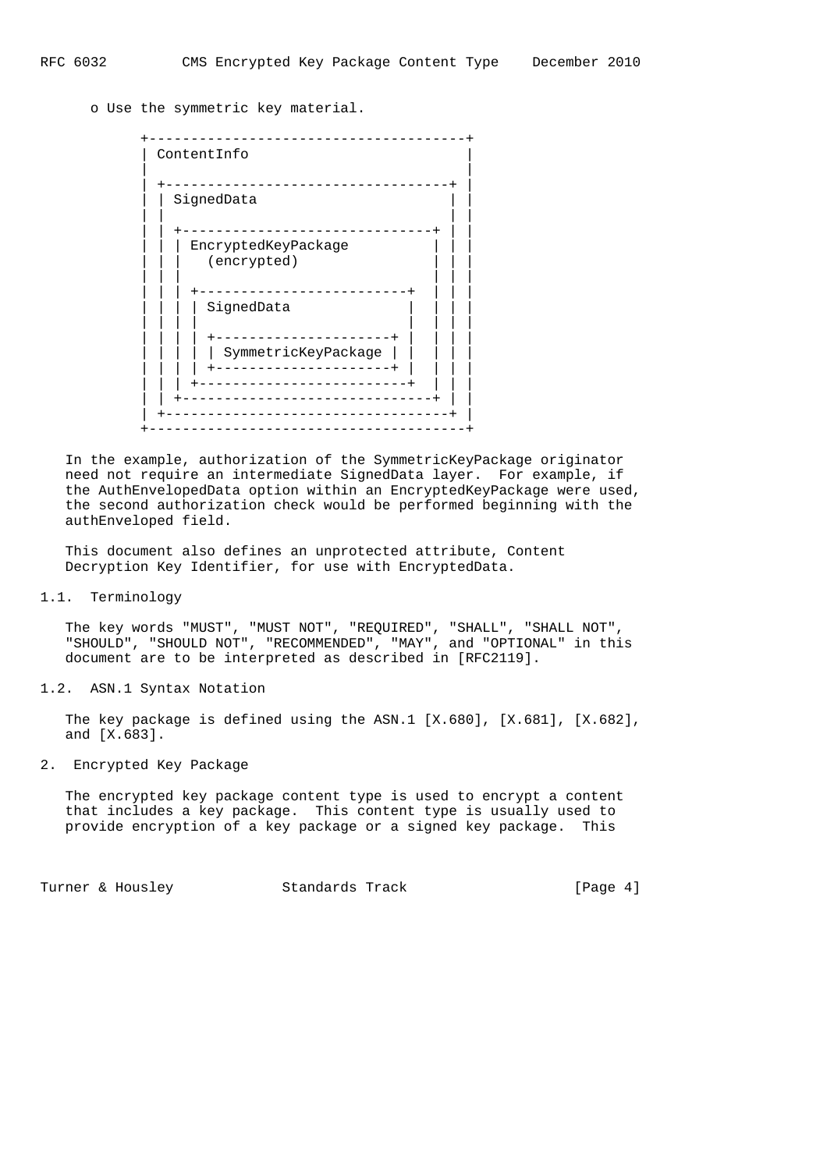o Use the symmetric key material.

| ContentInfo                                                                      |
|----------------------------------------------------------------------------------|
| SignedData                                                                       |
| EncryptedKeyPackage<br>(encrypted)                                               |
| SignedData                                                                       |
| ------------+<br>$- - - - - - -$<br>SymmetricKeyPackage<br>--------------------+ |

 In the example, authorization of the SymmetricKeyPackage originator need not require an intermediate SignedData layer. For example, if the AuthEnvelopedData option within an EncryptedKeyPackage were used, the second authorization check would be performed beginning with the authEnveloped field.

 This document also defines an unprotected attribute, Content Decryption Key Identifier, for use with EncryptedData.

1.1. Terminology

 The key words "MUST", "MUST NOT", "REQUIRED", "SHALL", "SHALL NOT", "SHOULD", "SHOULD NOT", "RECOMMENDED", "MAY", and "OPTIONAL" in this document are to be interpreted as described in [RFC2119].

1.2. ASN.1 Syntax Notation

 The key package is defined using the ASN.1 [X.680], [X.681], [X.682], and [X.683].

2. Encrypted Key Package

 The encrypted key package content type is used to encrypt a content that includes a key package. This content type is usually used to provide encryption of a key package or a signed key package. This

Turner & Housley Standards Track [Page 4]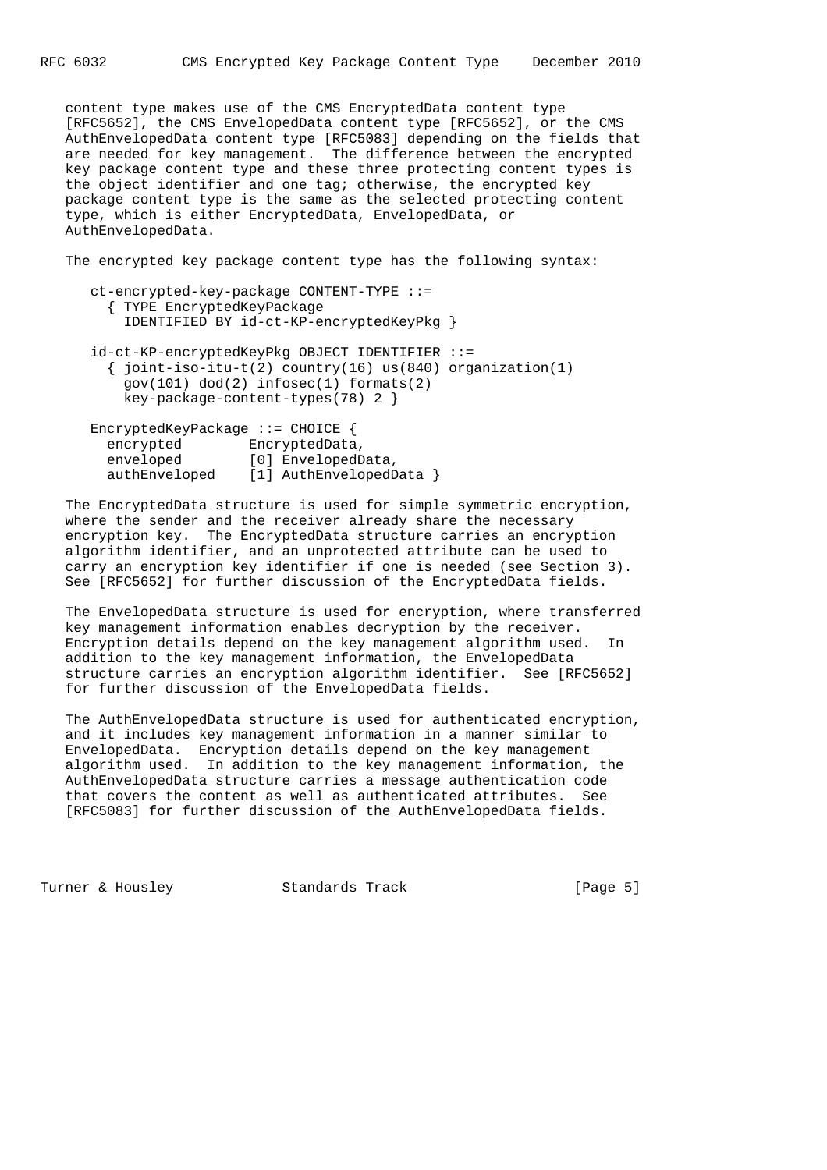content type makes use of the CMS EncryptedData content type [RFC5652], the CMS EnvelopedData content type [RFC5652], or the CMS AuthEnvelopedData content type [RFC5083] depending on the fields that are needed for key management. The difference between the encrypted key package content type and these three protecting content types is the object identifier and one tag; otherwise, the encrypted key package content type is the same as the selected protecting content type, which is either EncryptedData, EnvelopedData, or AuthEnvelopedData.

The encrypted key package content type has the following syntax:

- ct-encrypted-key-package CONTENT-TYPE ::= { TYPE EncryptedKeyPackage IDENTIFIED BY id-ct-KP-encryptedKeyPkg }
- id-ct-KP-encryptedKeyPkg OBJECT IDENTIFIER ::=  $\{$  joint-iso-itu-t(2) country(16) us(840) organization(1) gov(101) dod(2) infosec(1) formats(2) key-package-content-types(78) 2 }

| EncryptedKeyPackage $::$ CHOICE { |                         |
|-----------------------------------|-------------------------|
| encrypted                         | EncryptedData,          |
| enveloped                         | [0] EnvelopedData,      |
| authEnveloped                     | [1] AuthEnvelopedData } |

 The EncryptedData structure is used for simple symmetric encryption, where the sender and the receiver already share the necessary encryption key. The EncryptedData structure carries an encryption algorithm identifier, and an unprotected attribute can be used to carry an encryption key identifier if one is needed (see Section 3). See [RFC5652] for further discussion of the EncryptedData fields.

 The EnvelopedData structure is used for encryption, where transferred key management information enables decryption by the receiver. Encryption details depend on the key management algorithm used. In addition to the key management information, the EnvelopedData structure carries an encryption algorithm identifier. See [RFC5652] for further discussion of the EnvelopedData fields.

 The AuthEnvelopedData structure is used for authenticated encryption, and it includes key management information in a manner similar to EnvelopedData. Encryption details depend on the key management algorithm used. In addition to the key management information, the AuthEnvelopedData structure carries a message authentication code that covers the content as well as authenticated attributes. See [RFC5083] for further discussion of the AuthEnvelopedData fields.

Turner & Housley Standards Track [Page 5]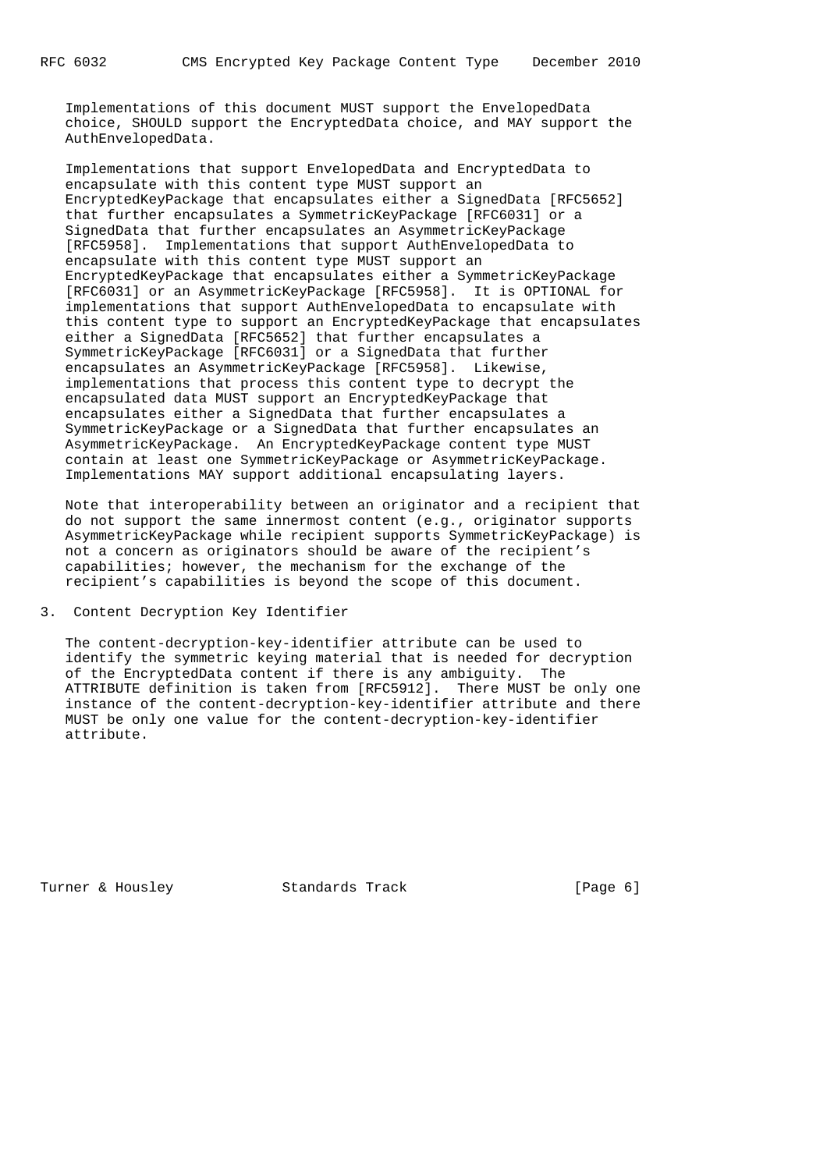Implementations of this document MUST support the EnvelopedData choice, SHOULD support the EncryptedData choice, and MAY support the AuthEnvelopedData.

 Implementations that support EnvelopedData and EncryptedData to encapsulate with this content type MUST support an EncryptedKeyPackage that encapsulates either a SignedData [RFC5652] that further encapsulates a SymmetricKeyPackage [RFC6031] or a SignedData that further encapsulates an AsymmetricKeyPackage [RFC5958]. Implementations that support AuthEnvelopedData to encapsulate with this content type MUST support an EncryptedKeyPackage that encapsulates either a SymmetricKeyPackage [RFC6031] or an AsymmetricKeyPackage [RFC5958]. It is OPTIONAL for implementations that support AuthEnvelopedData to encapsulate with this content type to support an EncryptedKeyPackage that encapsulates either a SignedData [RFC5652] that further encapsulates a SymmetricKeyPackage [RFC6031] or a SignedData that further encapsulates an AsymmetricKeyPackage [RFC5958]. Likewise, implementations that process this content type to decrypt the encapsulated data MUST support an EncryptedKeyPackage that encapsulates either a SignedData that further encapsulates a SymmetricKeyPackage or a SignedData that further encapsulates an AsymmetricKeyPackage. An EncryptedKeyPackage content type MUST contain at least one SymmetricKeyPackage or AsymmetricKeyPackage. Implementations MAY support additional encapsulating layers.

 Note that interoperability between an originator and a recipient that do not support the same innermost content (e.g., originator supports AsymmetricKeyPackage while recipient supports SymmetricKeyPackage) is not a concern as originators should be aware of the recipient's capabilities; however, the mechanism for the exchange of the recipient's capabilities is beyond the scope of this document.

3. Content Decryption Key Identifier

 The content-decryption-key-identifier attribute can be used to identify the symmetric keying material that is needed for decryption of the EncryptedData content if there is any ambiguity. The ATTRIBUTE definition is taken from [RFC5912]. There MUST be only one instance of the content-decryption-key-identifier attribute and there MUST be only one value for the content-decryption-key-identifier attribute.

Turner & Housley Standards Track [Page 6]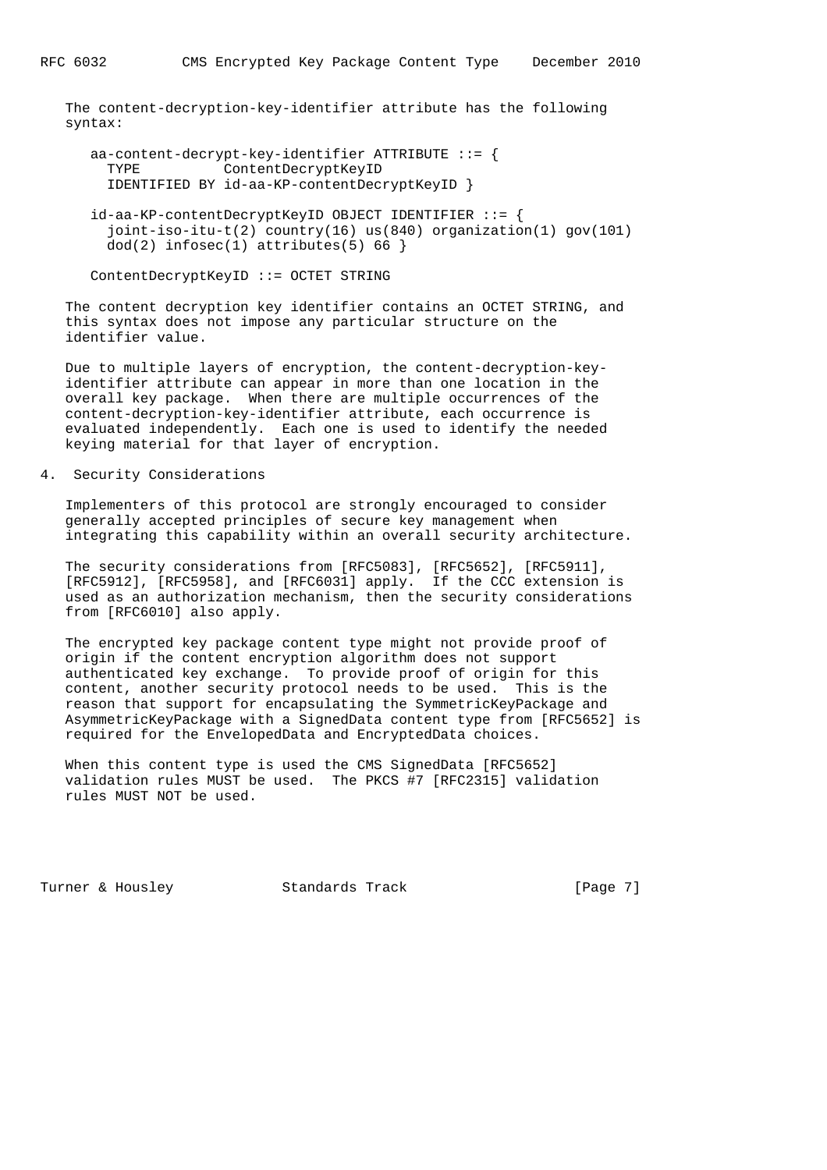The content-decryption-key-identifier attribute has the following syntax:

```
aa-content-decrypt-key-identifier ATTRIBUTE ::= {
  TYPE ContentDecryptKeyID
  IDENTIFIED BY id-aa-KP-contentDecryptKeyID }
 id-aa-KP-contentDecryptKeyID OBJECT IDENTIFIER ::= {
   joint-iso-itu-t(2) country(16) us(840) organization(1) gov(101)
  dod(2) infosec(1) attributes(5) 66 }
```

```
 ContentDecryptKeyID ::= OCTET STRING
```
 The content decryption key identifier contains an OCTET STRING, and this syntax does not impose any particular structure on the identifier value.

 Due to multiple layers of encryption, the content-decryption-key identifier attribute can appear in more than one location in the overall key package. When there are multiple occurrences of the content-decryption-key-identifier attribute, each occurrence is evaluated independently. Each one is used to identify the needed keying material for that layer of encryption.

## 4. Security Considerations

 Implementers of this protocol are strongly encouraged to consider generally accepted principles of secure key management when integrating this capability within an overall security architecture.

 The security considerations from [RFC5083], [RFC5652], [RFC5911], [RFC5912], [RFC5958], and [RFC6031] apply. If the CCC extension is used as an authorization mechanism, then the security considerations from [RFC6010] also apply.

 The encrypted key package content type might not provide proof of origin if the content encryption algorithm does not support authenticated key exchange. To provide proof of origin for this content, another security protocol needs to be used. This is the reason that support for encapsulating the SymmetricKeyPackage and AsymmetricKeyPackage with a SignedData content type from [RFC5652] is required for the EnvelopedData and EncryptedData choices.

 When this content type is used the CMS SignedData [RFC5652] validation rules MUST be used. The PKCS #7 [RFC2315] validation rules MUST NOT be used.

Turner & Housley Standards Track [Page 7]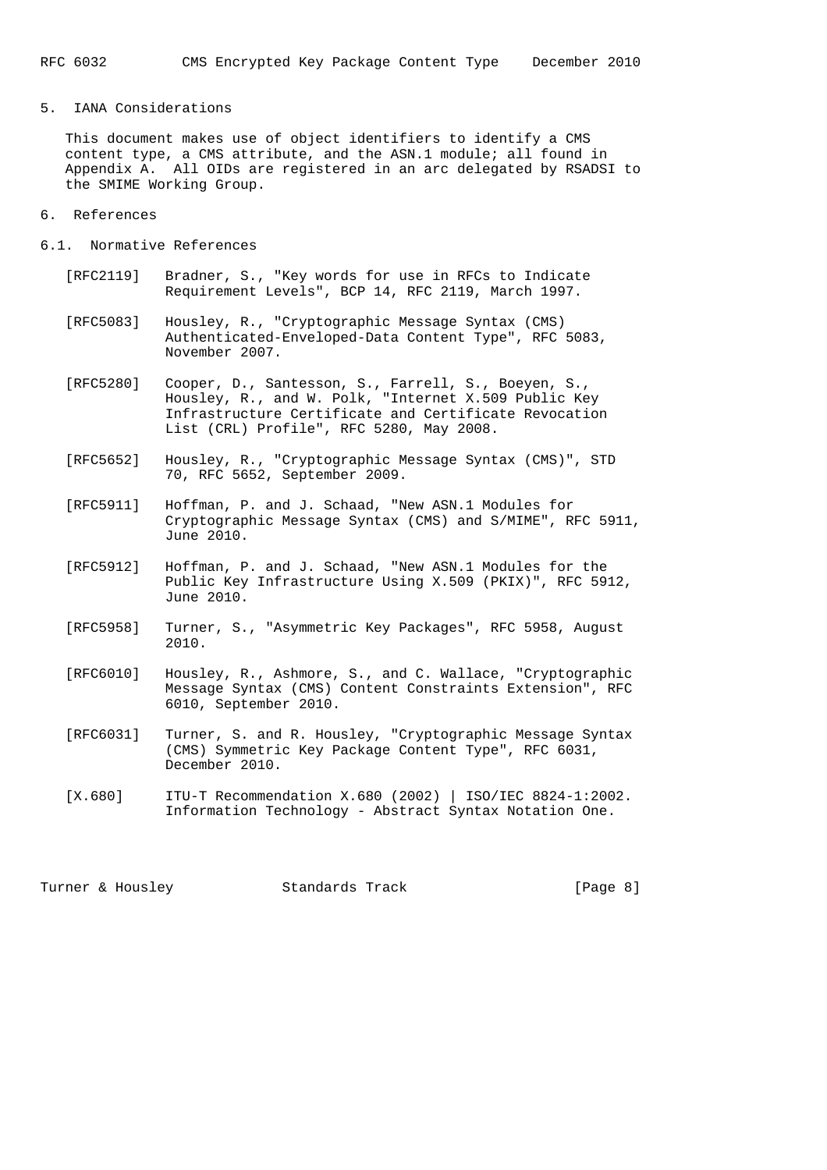## 5. IANA Considerations

 This document makes use of object identifiers to identify a CMS content type, a CMS attribute, and the ASN.1 module; all found in Appendix A. All OIDs are registered in an arc delegated by RSADSI to the SMIME Working Group.

- 6. References
- 6.1. Normative References
	- [RFC2119] Bradner, S., "Key words for use in RFCs to Indicate Requirement Levels", BCP 14, RFC 2119, March 1997.
	- [RFC5083] Housley, R., "Cryptographic Message Syntax (CMS) Authenticated-Enveloped-Data Content Type", RFC 5083, November 2007.
	- [RFC5280] Cooper, D., Santesson, S., Farrell, S., Boeyen, S., Housley, R., and W. Polk, "Internet X.509 Public Key Infrastructure Certificate and Certificate Revocation List (CRL) Profile", RFC 5280, May 2008.
	- [RFC5652] Housley, R., "Cryptographic Message Syntax (CMS)", STD 70, RFC 5652, September 2009.
	- [RFC5911] Hoffman, P. and J. Schaad, "New ASN.1 Modules for Cryptographic Message Syntax (CMS) and S/MIME", RFC 5911, June 2010.
	- [RFC5912] Hoffman, P. and J. Schaad, "New ASN.1 Modules for the Public Key Infrastructure Using X.509 (PKIX)", RFC 5912, June 2010.
	- [RFC5958] Turner, S., "Asymmetric Key Packages", RFC 5958, August 2010.
	- [RFC6010] Housley, R., Ashmore, S., and C. Wallace, "Cryptographic Message Syntax (CMS) Content Constraints Extension", RFC 6010, September 2010.
	- [RFC6031] Turner, S. and R. Housley, "Cryptographic Message Syntax (CMS) Symmetric Key Package Content Type", RFC 6031, December 2010.
	- [X.680] ITU-T Recommendation X.680 (2002) | ISO/IEC 8824-1:2002. Information Technology - Abstract Syntax Notation One.

Turner & Housley Standards Track [Page 8]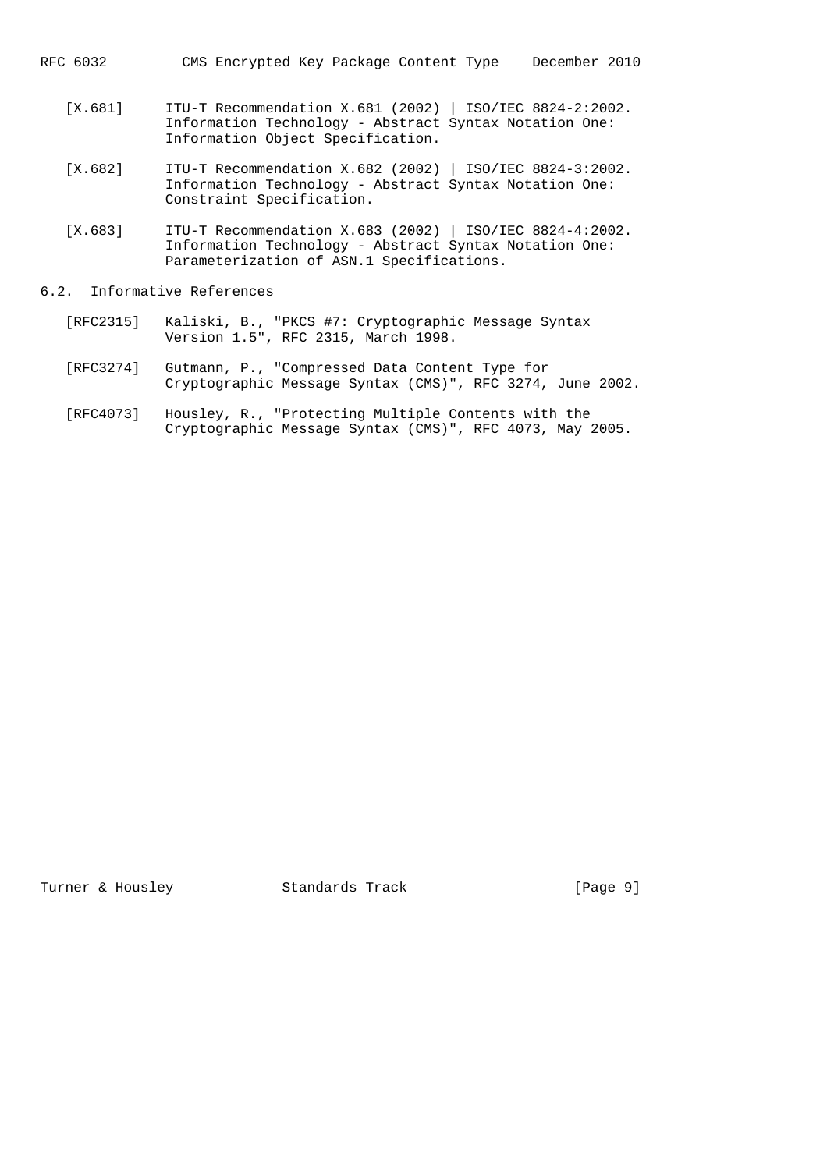- RFC 6032 CMS Encrypted Key Package Content Type December 2010
	- [X.681] ITU-T Recommendation X.681 (2002) | ISO/IEC 8824-2:2002. Information Technology - Abstract Syntax Notation One: Information Object Specification.
	- [X.682] ITU-T Recommendation X.682 (2002) | ISO/IEC 8824-3:2002. Information Technology - Abstract Syntax Notation One: Constraint Specification.
	- [X.683] ITU-T Recommendation X.683 (2002) | ISO/IEC 8824-4:2002. Information Technology - Abstract Syntax Notation One: Parameterization of ASN.1 Specifications.

## 6.2. Informative References

- [RFC2315] Kaliski, B., "PKCS #7: Cryptographic Message Syntax Version 1.5", RFC 2315, March 1998.
- [RFC3274] Gutmann, P., "Compressed Data Content Type for Cryptographic Message Syntax (CMS)", RFC 3274, June 2002.
- [RFC4073] Housley, R., "Protecting Multiple Contents with the Cryptographic Message Syntax (CMS)", RFC 4073, May 2005.

Turner & Housley Standards Track [Page 9]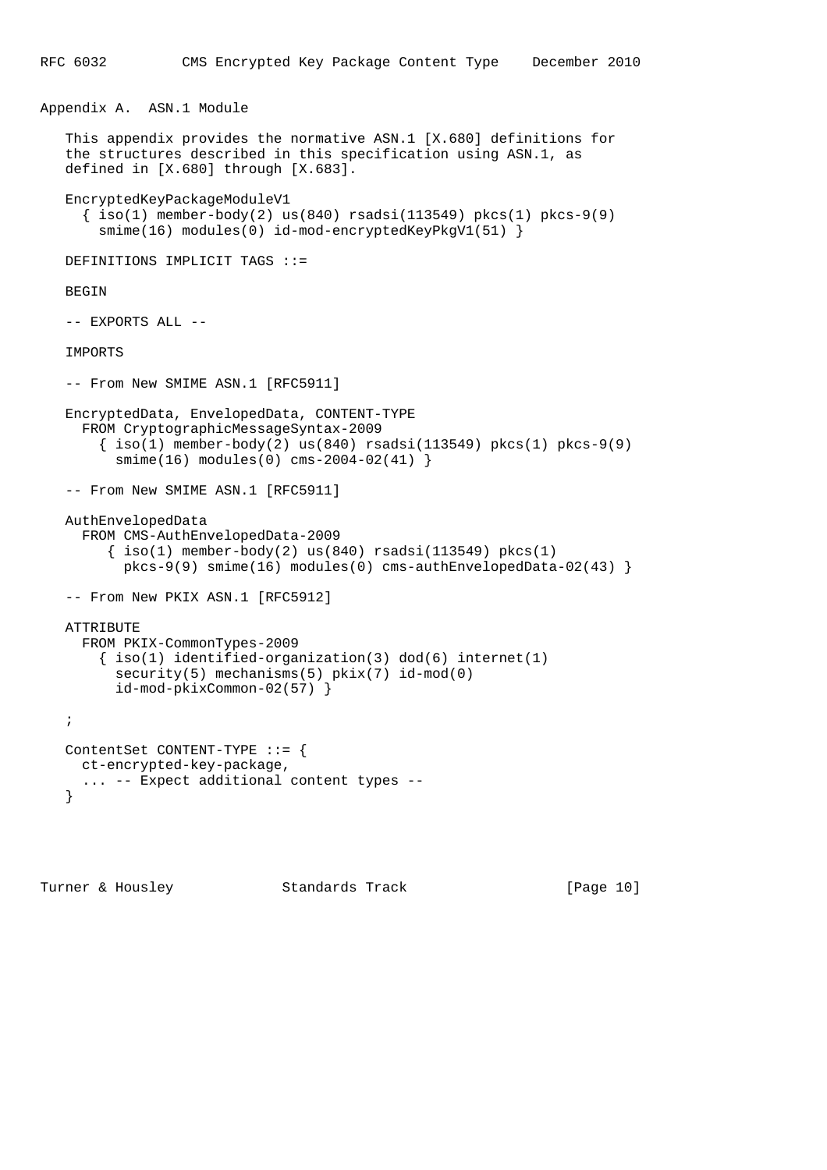```
Appendix A. ASN.1 Module
```

```
 This appendix provides the normative ASN.1 [X.680] definitions for
 the structures described in this specification using ASN.1, as
 defined in [X.680] through [X.683].
 EncryptedKeyPackageModuleV1
   { iso(1) member-body(2) us(840) rsadsi(113549) pkcs(1) pkcs-9(9)
    smime(16) modules(0) id-mod-encryptedKeyPkqV1(51) }
 DEFINITIONS IMPLICIT TAGS ::=
 BEGIN
 -- EXPORTS ALL --
 IMPORTS
-- From New SMIME ASN.1 [RFC5911]
 EncryptedData, EnvelopedData, CONTENT-TYPE
   FROM CryptographicMessageSyntax-2009
    \{ iso(1) member-body(2) us(840) rsadsi(113549) pkcs(1) pkcs-9(9)
      smime(16) modules(0) cms-2004-02(41) }
-- From New SMIME ASN.1 [RFC5911]
 AuthEnvelopedData
   FROM CMS-AuthEnvelopedData-2009
     \{\text{iso}(1) \text{ member-body}(2) \text{us}(840) \text{ rsadsi}(113549) \text{ pkcs}(1) pkcs-9(9) smime(16) modules(0) cms-authEnvelopedData-02(43) }
-- From New PKIX ASN.1 [RFC5912]
 ATTRIBUTE
   FROM PKIX-CommonTypes-2009
    \{ \text{iso}(1) \text{ identified-organization}(3) \text{ dod}(6) \text{ internet}(1) \}security(5) mechanisms(5) pkix(7) id-mod(0)
       id-mod-pkixCommon-02(57) }
 ;
 ContentSet CONTENT-TYPE ::= {
  ct-encrypted-key-package,
   ... -- Expect additional content types --
 }
```
Turner & Housley Standards Track [Page 10]